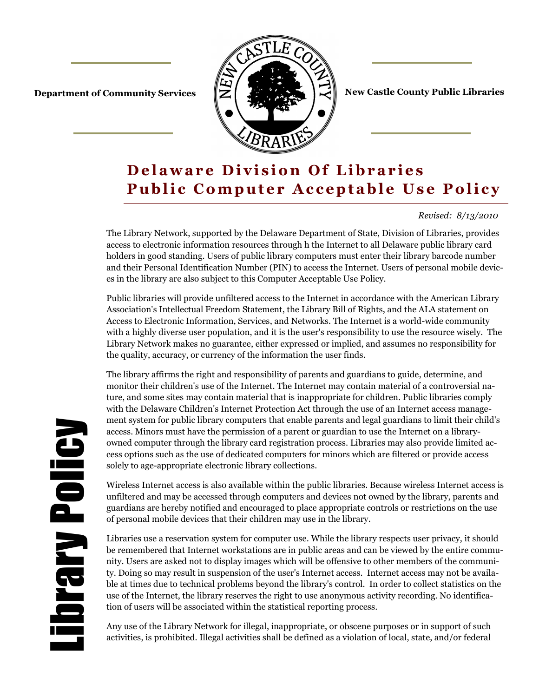

**Department of Community Services**  $\|\mathbf{Z}\|$  **. The first service of Community Services** 

# **Delaware Division Of Libraries Public Computer Acceptable Use Policy**

### *Revised: 8/13/2010*

The Library Network, supported by the Delaware Department of State, Division of Libraries, provides access to electronic information resources through h the Internet to all Delaware public library card holders in good standing. Users of public library computers must enter their library barcode number and their Personal Identification Number (PIN) to access the Internet. Users of personal mobile devices in the library are also subject to this Computer Acceptable Use Policy.

Public libraries will provide unfiltered access to the Internet in accordance with the American Library Association's Intellectual Freedom Statement, the Library Bill of Rights, and the ALA statement on Access to Electronic Information, Services, and Networks. The Internet is a world-wide community with a highly diverse user population, and it is the user's responsibility to use the resource wisely. The Library Network makes no guarantee, either expressed or implied, and assumes no responsibility for the quality, accuracy, or currency of the information the user finds.

The library affirms the right and responsibility of parents and guardians to guide, determine, and monitor their children's use of the Internet. The Internet may contain material of a controversial nature, and some sites may contain material that is inappropriate for children. Public libraries comply with the Delaware Children's Internet Protection Act through the use of an Internet access management system for public library computers that enable parents and legal guardians to limit their child's access. Minors must have the permission of a parent or guardian to use the Internet on a libraryowned computer through the library card registration process. Libraries may also provide limited access options such as the use of dedicated computers for minors which are filtered or provide access solely to age-appropriate electronic library collections.

Wireless Internet access is also available within the public libraries. Because wireless Internet access is unfiltered and may be accessed through computers and devices not owned by the library, parents and guardians are hereby notified and encouraged to place appropriate controls or restrictions on the use of personal mobile devices that their children may use in the library.

Libraries use a reservation system for computer use. While the library respects user privacy, it should be remembered that Internet workstations are in public areas and can be viewed by the entire community. Users are asked not to display images which will be offensive to other members of the community. Doing so may result in suspension of the user's Internet access. Internet access may not be available at times due to technical problems beyond the library's control. In order to collect statistics on the use of the Internet, the library reserves the right to use anonymous activity recording. No identification of users will be associated within the statistical reporting process.

Any use of the Library Network for illegal, inappropriate, or obscene purposes or in support of such activities, is prohibited. Illegal activities shall be defined as a violation of local, state, and/or federal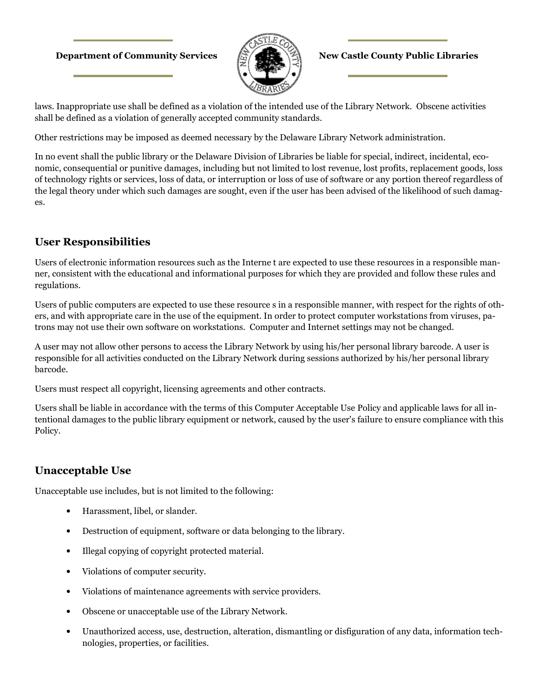### **Department of Community Services**  $\mathbb{R}$  **1**  $\mathbb{R}$  **New Castle County Public Libraries**



laws. Inappropriate use shall be defined as a violation of the intended use of the Library Network. Obscene activities shall be defined as a violation of generally accepted community standards.

Other restrictions may be imposed as deemed necessary by the Delaware Library Network administration.

In no event shall the public library or the Delaware Division of Libraries be liable for special, indirect, incidental, economic, consequential or punitive damages, including but not limited to lost revenue, lost profits, replacement goods, loss of technology rights or services, loss of data, or interruption or loss of use of software or any portion thereof regardless of the legal theory under which such damages are sought, even if the user has been advised of the likelihood of such damages.

## **User Responsibilities**

Users of electronic information resources such as the Interne t are expected to use these resources in a responsible manner, consistent with the educational and informational purposes for which they are provided and follow these rules and regulations.

Users of public computers are expected to use these resource s in a responsible manner, with respect for the rights of others, and with appropriate care in the use of the equipment. In order to protect computer workstations from viruses, patrons may not use their own software on workstations. Computer and Internet settings may not be changed.

A user may not allow other persons to access the Library Network by using his/her personal library barcode. A user is responsible for all activities conducted on the Library Network during sessions authorized by his/her personal library barcode.

Users must respect all copyright, licensing agreements and other contracts.

Users shall be liable in accordance with the terms of this Computer Acceptable Use Policy and applicable laws for all intentional damages to the public library equipment or network, caused by the user's failure to ensure compliance with this Policy.

## **Unacceptable Use**

Unacceptable use includes, but is not limited to the following:

- Harassment, libel, or slander.
- Destruction of equipment, software or data belonging to the library.
- Illegal copying of copyright protected material.
- Violations of computer security.
- Violations of maintenance agreements with service providers.
- Obscene or unacceptable use of the Library Network.
- Unauthorized access, use, destruction, alteration, dismantling or disfiguration of any data, information technologies, properties, or facilities.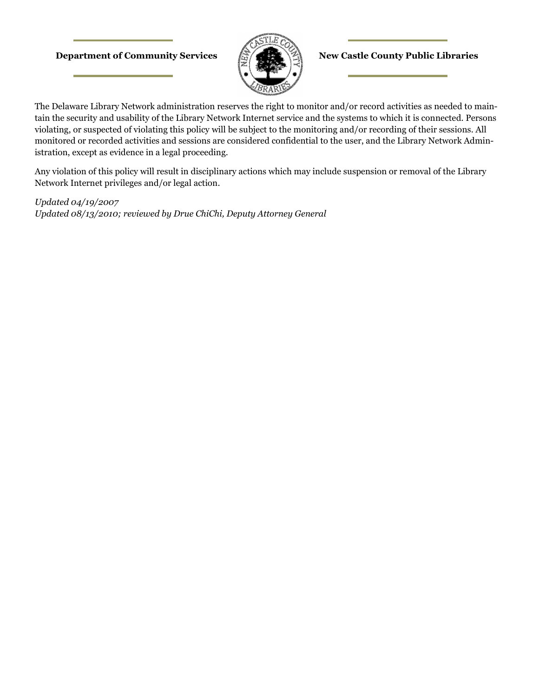### **Department of Community Services**  $\left(\frac{1}{k_0}\right)^{1/2}$  **New Castle County Public Libraries**



The Delaware Library Network administration reserves the right to monitor and/or record activities as needed to maintain the security and usability of the Library Network Internet service and the systems to which it is connected. Persons violating, or suspected of violating this policy will be subject to the monitoring and/or recording of their sessions. All monitored or recorded activities and sessions are considered confidential to the user, and the Library Network Administration, except as evidence in a legal proceeding.

Any violation of this policy will result in disciplinary actions which may include suspension or removal of the Library Network Internet privileges and/or legal action.

*Updated 04/19/2007 Updated 08/13/2010; reviewed by Drue ChiChi, Deputy Attorney General*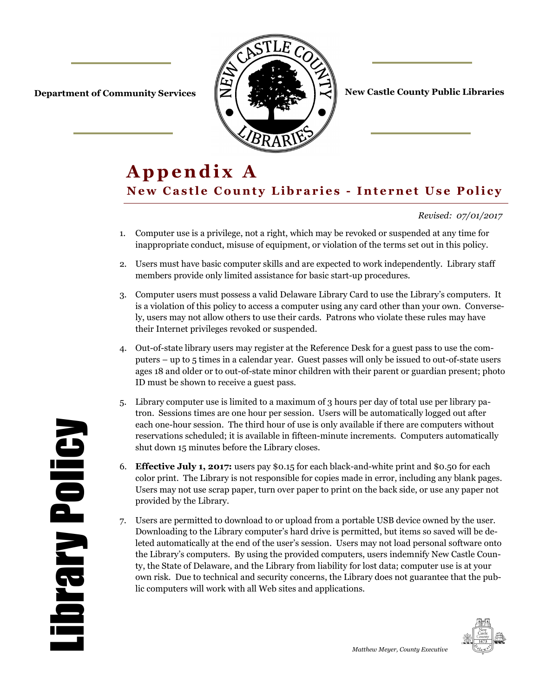

**Department of Community Services**  $\|\mathbf{Z}\|$  $\|\mathbf{Z}\|$  $\|\mathbf{Z}\|$  **New Castle County Public Libraries** 

# Appendix A **New Castle County Libraries - Internet Use Policy**

### *Revised: 07/01/2017*

- 1. Computer use is a privilege, not a right, which may be revoked or suspended at any time for inappropriate conduct, misuse of equipment, or violation of the terms set out in this policy.
- 2. Users must have basic computer skills and are expected to work independently. Library staff members provide only limited assistance for basic start-up procedures.
- 3. Computer users must possess a valid Delaware Library Card to use the Library's computers. It is a violation of this policy to access a computer using any card other than your own. Conversely, users may not allow others to use their cards. Patrons who violate these rules may have their Internet privileges revoked or suspended.
- 4. Out-of-state library users may register at the Reference Desk for a guest pass to use the computers – up to 5 times in a calendar year. Guest passes will only be issued to out-of-state users ages 18 and older or to out-of-state minor children with their parent or guardian present; photo ID must be shown to receive a guest pass.
- 5. Library computer use is limited to a maximum of 3 hours per day of total use per library patron. Sessions times are one hour per session. Users will be automatically logged out after each one-hour session. The third hour of use is only available if there are computers without reservations scheduled; it is available in fifteen-minute increments. Computers automatically shut down 15 minutes before the Library closes.
- 6. **Effective July 1, 2017:** users pay \$0.15 for each black-and-white print and \$0.50 for each color print. The Library is not responsible for copies made in error, including any blank pages. Users may not use scrap paper, turn over paper to print on the back side, or use any paper not provided by the Library.
- 7. Users are permitted to download to or upload from a portable USB device owned by the user. Downloading to the Library computer's hard drive is permitted, but items so saved will be deleted automatically at the end of the user's session. Users may not load personal software onto the Library's computers. By using the provided computers, users indemnify New Castle County, the State of Delaware, and the Library from liability for lost data; computer use is at your own risk. Due to technical and security concerns, the Library does not guarantee that the public computers will work with all Web sites and applications.



Library Policy